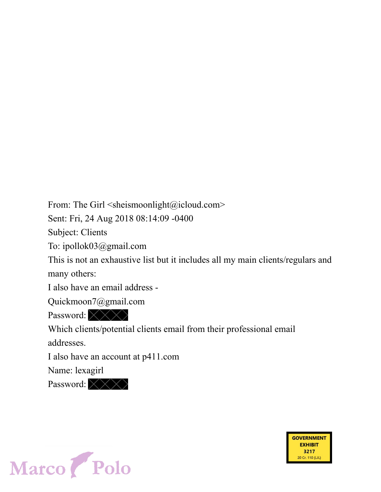From: The Girl  $\leq$ sheismoonlight@icloud.com>

Sent: Fri, 24 Aug 2018 08:14:09 -0400

Subject: Clients

To: ipollok03@gmail.com

This is not an exhaustive list but it includes all my main clients/regulars and many others:

> **GOVERNMENT EXHIBIT** 3217

> > 20 Cr. 110 (LJL)

I also have an email address -

Quickmoon7@gmail.com

Password: XXX

Which clients/potential clients email from their professional email addresses.

I also have an account at p411.com

Name: lexagirl

Password: XXX

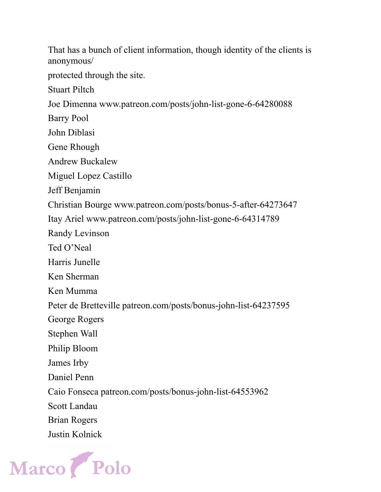That has a bunch of client information, though identity of the clients is anonymous/ protected through the site. Stuart Piltch Joe Dimenna www.patreon.com/posts/john-list-gone-6-64280088 Barry Pool John Diblasi Gene Rhough Andrew Buckalew Miguel Lopez Castillo Jeff Benjamin Christian Bourge www.patreon.com/posts/bonus-5-after-64273647 Itay Ariel www.patreon.com/posts/john-list-gone-6-64314789 Randy Levinson Ted O'Neal Harris Junelle Ken Sherman Ken Mumma Peter de Bretteville patreon.com/posts/bonus-john-list-64237595 George Rogers Stephen Wall Philip Bloom James Irby Daniel Penn Caio Fonseca patreon.com/posts/bonus-john-list-64553962 Scott Landau Brian Rogers Justin Kolnick

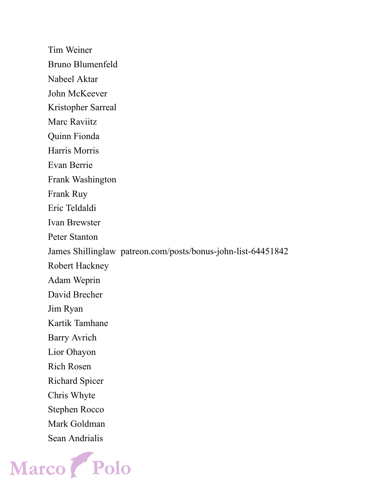Tim Weiner Bruno Blumenfeld Nabeel Aktar John McKeever Kristopher Sarreal Marc Raviitz Quinn Fionda Harris Morris Evan Berrie Frank Washington Frank Ruy Eric Teldaldi Ivan Brewster Peter Stanton James Shillinglaw patreon.com/posts/bonus-john-list-64451842 Robert Hackney Adam Weprin David Brecher Jim Ryan Kartik Tamhane Barry Avrich Lior Ohayon Rich Rosen Richard Spicer Chris Whyte Stephen Rocco Mark Goldman Sean Andrialis

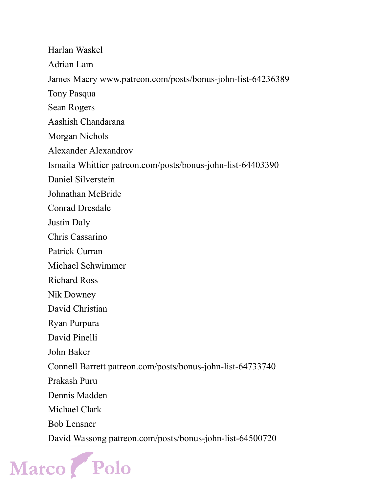Harlan Waskel Adrian Lam James Macry www.patreon.com/posts/bonus-john-list-64236389 Tony Pasqua Sean Rogers Aashish Chandarana Morgan Nichols Alexander Alexandrov Ismaila Whittier patreon.com/posts/bonus-john-list-64403390 Daniel Silverstein Johnathan McBride Conrad Dresdale Justin Daly Chris Cassarino Patrick Curran Michael Schwimmer Richard Ross Nik Downey David Christian Ryan Purpura David Pinelli John Baker Connell Barrett patreon.com/posts/bonus-john-list-64733740 Prakash Puru Dennis Madden Michael Clark Bob Lensner David Wassong patreon.com/posts/bonus-john-list-64500720

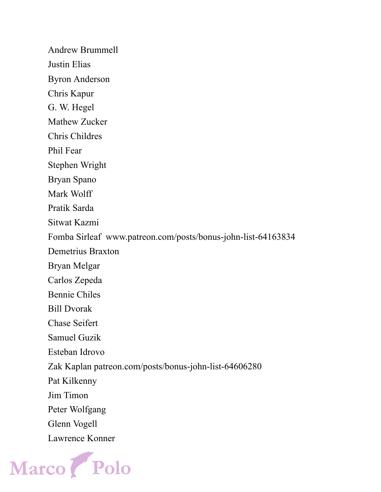Andrew Brummell Justin Elias Byron Anderson Chris Kapur G. W. Hegel Mathew Zucker Chris Childres Phil Fear Stephen Wright Bryan Spano Mark Wolff Pratik Sarda Sitwat Kazmi Fomba Sirleaf www.patreon.com/posts/bonus-john-list-64163834 Demetrius Braxton Bryan Melgar Carlos Zepeda Bennie Chiles Bill Dvorak Chase Seifert Samuel Guzik Esteban Idrovo Zak Kaplan patreon.com/posts/bonus-john-list-64606280 Pat Kilkenny Jim Timon Peter Wolfgang Glenn Vogell Lawrence Konner